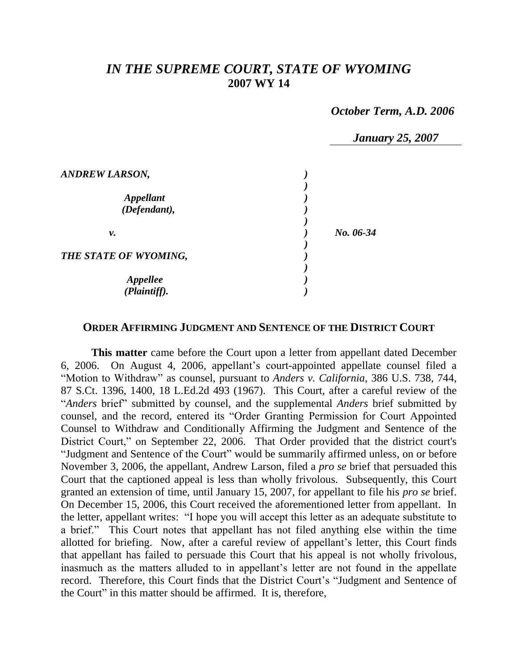## *IN THE SUPREME COURT, STATE OF WYOMING* **2007 WY 14**

 *October Term, A.D. 2006*

|                                  | <b>January 25, 2007</b> |
|----------------------------------|-------------------------|
| <b>ANDREW LARSON,</b>            |                         |
| <b>Appellant</b><br>(Defendant), |                         |
| ν.                               | No. 06-34               |
| THE STATE OF WYOMING,            |                         |
| Appellee<br>(Plaintiff).         |                         |

## **ORDER AFFIRMING JUDGMENT AND SENTENCE OF THE DISTRICT COURT**

**This matter** came before the Court upon a letter from appellant dated December 6, 2006. On August 4, 2006, appellant's court-appointed appellate counsel filed a "Motion to Withdraw" as counsel, pursuant to *Anders v. California*, 386 U.S. 738, 744, 87 S.Ct. 1396, 1400, 18 L.Ed.2d 493 (1967). This Court, after a careful review of the "*Anders* brief" submitted by counsel, and the supplemental *Anders* brief submitted by counsel, and the record, entered its "Order Granting Permission for Court Appointed Counsel to Withdraw and Conditionally Affirming the Judgment and Sentence of the District Court," on September 22, 2006. That Order provided that the district court's "Judgment and Sentence of the Court" would be summarily affirmed unless, on or before November 3, 2006, the appellant, Andrew Larson, filed a *pro se* brief that persuaded this Court that the captioned appeal is less than wholly frivolous. Subsequently, this Court granted an extension of time, until January 15, 2007, for appellant to file his *pro se* brief. On December 15, 2006, this Court received the aforementioned letter from appellant. In the letter, appellant writes: "I hope you will accept this letter as an adequate substitute to a brief." This Court notes that appellant has not filed anything else within the time allotted for briefing. Now, after a careful review of appellant's letter, this Court finds that appellant has failed to persuade this Court that his appeal is not wholly frivolous, inasmuch as the matters alluded to in appellant's letter are not found in the appellate record. Therefore, this Court finds that the District Court's "Judgment and Sentence of the Court" in this matter should be affirmed. It is, therefore,